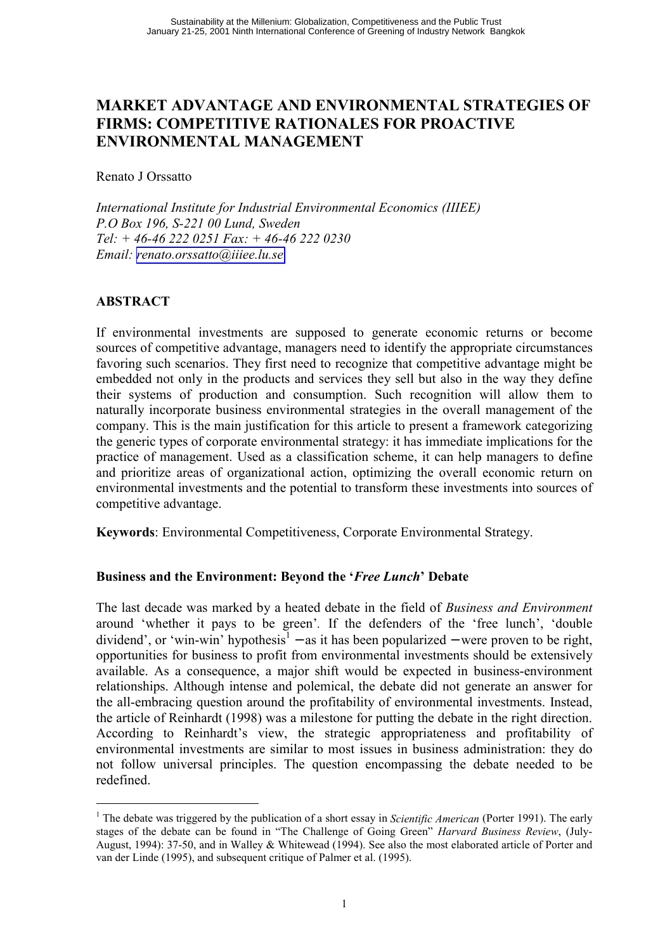## **MARKET ADVANTAGE AND ENVIRONMENTAL STRATEGIES OF FIRMS: COMPETITIVE RATIONALES FOR PROACTIVE ENVIRONMENTAL MANAGEMENT**

Renato J Orssatto

International Institute for Industrial Environmental Economics (IIIEE) P.O Box 196, S-221 00 Lund, Sweden Tel: + 46-46 222 0251 Fax: + 46-46 222 0230 Email: renato.orssatto@iiiee.lu.se

## **ABSTRACT**

If environmental investments are supposed to generate economic returns or become sources of competitive advantage, managers need to identify the appropriate circumstances favoring such scenarios. They first need to recognize that competitive advantage might be embedded not only in the products and services they sell but also in the way they define their systems of production and consumption. Such recognition will allow them to naturally incorporate business environmental strategies in the overall management of the company. This is the main justification for this article to present a framework categorizing the generic types of corporate environmental strategy: it has immediate implications for the practice of management. Used as a classification scheme, it can help managers to define and prioritize areas of organizational action, optimizing the overall economic return on environmental investments and the potential to transform these investments into sources of competitive advantage.

Keywords: Environmental Competitiveness, Corporate Environmental Strategy.

## Business and the Environment: Bevond the '*Free Lunch*' Debate

The last decade was marked by a heated debate in the field of Business and Environment around 'whether it pays to be green'. If the defenders of the 'free lunch', 'double dividend', or 'win-win' hypothesis<sup>1</sup> – as it has been popularized – were proven to be right, opportunities for business to profit from environmental investments should be extensively available. As a consequence, a major shift would be expected in business-environment relationships. Although intense and polemical, the debate did not generate an answer for the all-embracing question around the profitability of environmental investments. Instead, the article of Reinhardt (1998) was a milestone for putting the debate in the right direction. According to Reinhardt's view, the strategic appropriateness and profitability of environmental investments are similar to most issues in business administration: they do not follow universal principles. The question encompassing the debate needed to be redefined.

<sup>&</sup>lt;sup>1</sup> The debate was triggered by the publication of a short essay in *Scientific American* (Porter 1991). The early stages of the debate can be found in "The Challenge of Going Green" Harvard Business Review, (July-August, 1994): 37-50, and in Walley & Whitewead (1994). See also the most elaborated article of Porter and van der Linde (1995), and subsequent critique of Palmer et al. (1995).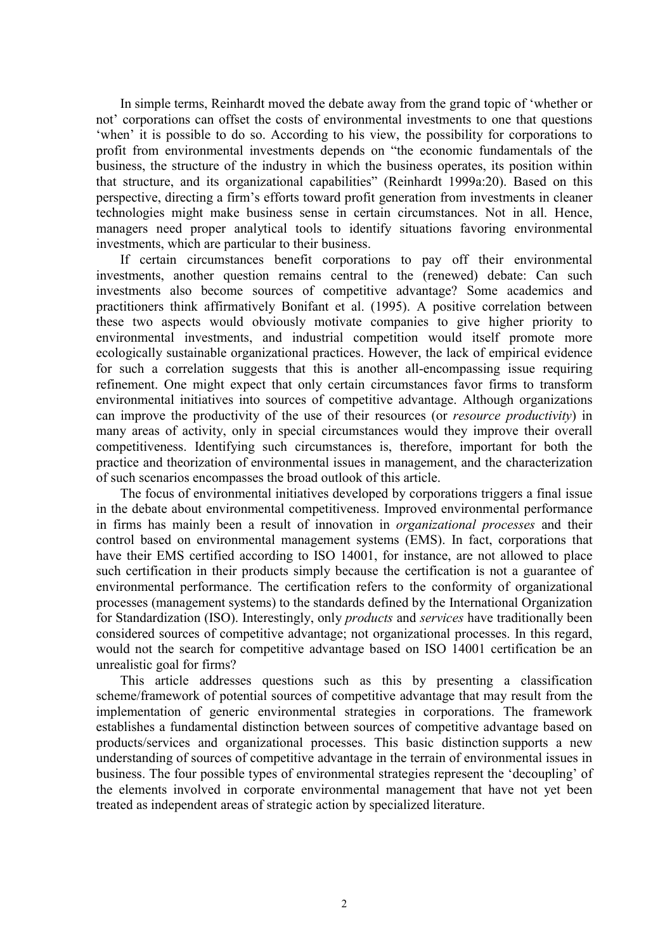In simple terms, Reinhardt moved the debate away from the grand topic of 'whether or not' corporations can offset the costs of environmental investments to one that questions 'when' it is possible to do so. According to his view, the possibility for corporations to profit from environmental investments depends on "the economic fundamentals of the business, the structure of the industry in which the business operates, its position within that structure, and its organizational capabilities" (Reinhardt 1999a:20). Based on this perspective, directing a firm's efforts toward profit generation from investments in cleaner technologies might make business sense in certain circumstances. Not in all. Hence, managers need proper analytical tools to identify situations favoring environmental investments, which are particular to their business.

If certain circumstances benefit corporations to pay off their environmental investments, another question remains central to the (renewed) debate: Can such investments also become sources of competitive advantage? Some academics and practitioners think affirmatively Bonifant et al. (1995). A positive correlation between these two aspects would obviously motivate companies to give higher priority to environmental investments, and industrial competition would itself promote more ecologically sustainable organizational practices. However, the lack of empirical evidence for such a correlation suggests that this is another all-encompassing issue requiring refinement. One might expect that only certain circumstances favor firms to transform environmental initiatives into sources of competitive advantage. Although organizations can improve the productivity of the use of their resources (or *resource productivity*) in many areas of activity, only in special circumstances would they improve their overall competitiveness. Identifying such circumstances is, therefore, important for both the practice and theorization of environmental issues in management, and the characterization of such scenarios encompasses the broad outlook of this article.

The focus of environmental initiatives developed by corporations triggers a final issue in the debate about environmental competitiveness. Improved environmental performance in firms has mainly been a result of innovation in *organizational processes* and their control based on environmental management systems (EMS). In fact, corporations that have their EMS certified according to ISO 14001, for instance, are not allowed to place such certification in their products simply because the certification is not a guarantee of environmental performance. The certification refers to the conformity of organizational processes (management systems) to the standards defined by the International Organization for Standardization (ISO). Interestingly, only *products* and *services* have traditionally been considered sources of competitive advantage; not organizational processes. In this regard, would not the search for competitive advantage based on ISO 14001 certification be an unrealistic goal for firms?

This article addresses questions such as this by presenting a classification scheme/framework of potential sources of competitive advantage that may result from the implementation of generic environmental strategies in corporations. The framework establishes a fundamental distinction between sources of competitive advantage based on products/services and organizational processes. This basic distinction supports a new understanding of sources of competitive advantage in the terrain of environmental issues in business. The four possible types of environmental strategies represent the 'decoupling' of the elements involved in corporate environmental management that have not yet been treated as independent areas of strategic action by specialized literature.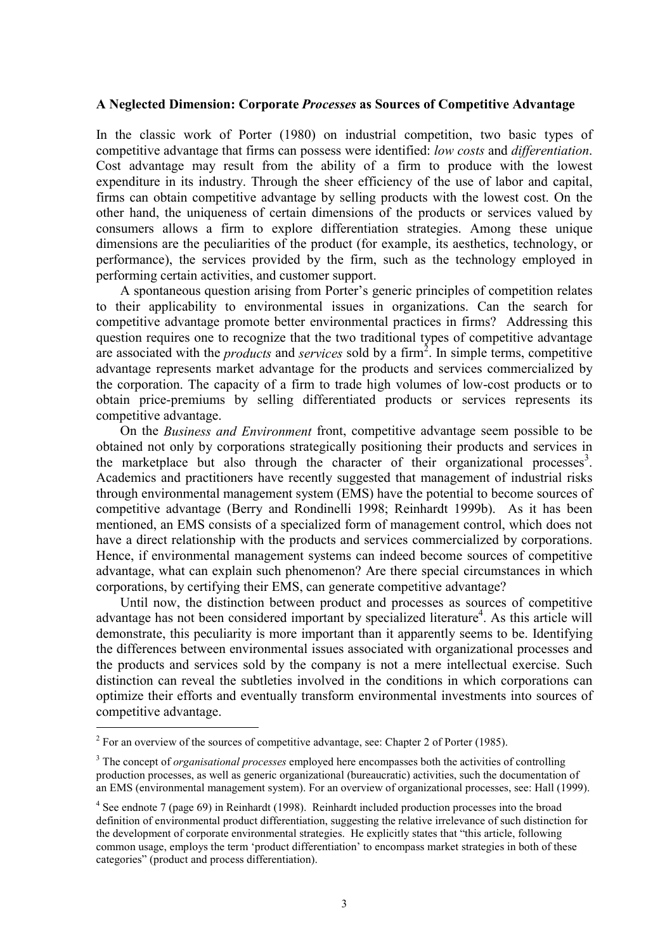#### A Neglected Dimension: Corporate Processes as Sources of Competitive Advantage

In the classic work of Porter (1980) on industrial competition, two basic types of competitive advantage that firms can possess were identified: low costs and differentiation. Cost advantage may result from the ability of a firm to produce with the lowest expenditure in its industry. Through the sheer efficiency of the use of labor and capital, firms can obtain competitive advantage by selling products with the lowest cost. On the other hand, the uniqueness of certain dimensions of the products or services valued by consumers allows a firm to explore differentiation strategies. Among these unique dimensions are the peculiarities of the product (for example, its aesthetics, technology, or performance), the services provided by the firm, such as the technology employed in performing certain activities, and customer support.

A spontaneous question arising from Porter's generic principles of competition relates to their applicability to environmental issues in organizations. Can the search for competitive advantage promote better environmental practices in firms? Addressing this question requires one to recognize that the two traditional types of competitive advantage are associated with the *products* and *services* sold by a firm<sup>2</sup>. In simple terms, competitive advantage represents market advantage for the products and services commercialized by the corporation. The capacity of a firm to trade high volumes of low-cost products or to obtain price-premiums by selling differentiated products or services represents its competitive advantage.

On the *Business and Environment* front, competitive advantage seem possible to be obtained not only by corporations strategically positioning their products and services in the marketplace but also through the character of their organizational processes<sup>3</sup>. Academics and practitioners have recently suggested that management of industrial risks through environmental management system (EMS) have the potential to become sources of competitive advantage (Berry and Rondinelli 1998; Reinhardt 1999b). As it has been mentioned, an EMS consists of a specialized form of management control, which does not have a direct relationship with the products and services commercialized by corporations. Hence, if environmental management systems can indeed become sources of competitive advantage, what can explain such phenomenon? Are there special circumstances in which corporations, by certifying their EMS, can generate competitive advantage?

Until now, the distinction between product and processes as sources of competitive advantage has not been considered important by specialized literature<sup>4</sup>. As this article will demonstrate, this peculiarity is more important than it apparently seems to be. Identifying the differences between environmental issues associated with organizational processes and the products and services sold by the company is not a mere intellectual exercise. Such distinction can reveal the subtleties involved in the conditions in which corporations can optimize their efforts and eventually transform environmental investments into sources of competitive advantage.

 $2$  For an overview of the sources of competitive advantage, see: Chapter 2 of Porter (1985).

<sup>&</sup>lt;sup>3</sup> The concept of *organisational processes* employed here encompasses both the activities of controlling production processes, as well as generic organizational (bureaucratic) activities, such the documentation of an EMS (environmental management system). For an overview of organizational processes, see: Hall (1999).

 $4$  See endnote 7 (page 69) in Reinhardt (1998). Reinhardt included production processes into the broad definition of environmental product differentiation, suggesting the relative irrelevance of such distinction for the development of corporate environmental strategies. He explicitly states that "this article, following common usage, employs the term 'product differentiation' to encompass market strategies in both of these categories" (product and process differentiation).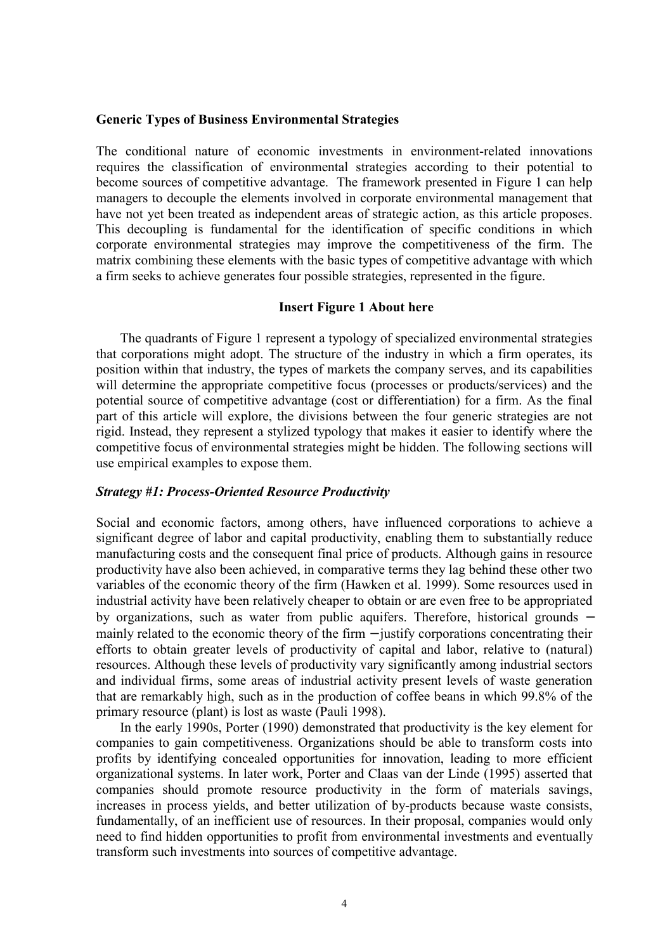#### **Generic Types of Business Environmental Strategies**

The conditional nature of economic investments in environment-related innovations requires the classification of environmental strategies according to their potential to become sources of competitive advantage. The framework presented in Figure 1 can help managers to decouple the elements involved in corporate environmental management that have not yet been treated as independent areas of strategic action, as this article proposes. This decoupling is fundamental for the identification of specific conditions in which corporate environmental strategies may improve the competitiveness of the firm. The matrix combining these elements with the basic types of competitive advantage with which a firm seeks to achieve generates four possible strategies, represented in the figure.

#### **Insert Figure 1 About here**

The quadrants of Figure 1 represent a typology of specialized environmental strategies that corporations might adopt. The structure of the industry in which a firm operates, its position within that industry, the types of markets the company serves, and its capabilities will determine the appropriate competitive focus (processes or products/services) and the potential source of competitive advantage (cost or differentiation) for a firm. As the final part of this article will explore, the divisions between the four generic strategies are not rigid. Instead, they represent a stylized typology that makes it easier to identify where the competitive focus of environmental strategies might be hidden. The following sections will use empirical examples to expose them.

#### **Strategy #1: Process-Oriented Resource Productivity**

Social and economic factors, among others, have influenced corporations to achieve a significant degree of labor and capital productivity, enabling them to substantially reduce manufacturing costs and the consequent final price of products. Although gains in resource productivity have also been achieved, in comparative terms they lag behind these other two variables of the economic theory of the firm (Hawken et al. 1999). Some resources used in industrial activity have been relatively cheaper to obtain or are even free to be appropriated by organizations, such as water from public aquifers. Therefore, historical grounds – mainly related to the economic theory of the firm  $-$  justify corporations concentrating their efforts to obtain greater levels of productivity of capital and labor, relative to (natural) resources. Although these levels of productivity vary significantly among industrial sectors and individual firms, some areas of industrial activity present levels of waste generation that are remarkably high, such as in the production of coffee beans in which 99.8% of the primary resource (plant) is lost as waste (Pauli 1998).

In the early 1990s, Porter (1990) demonstrated that productivity is the key element for companies to gain competitiveness. Organizations should be able to transform costs into profits by identifying concealed opportunities for innovation, leading to more efficient organizational systems. In later work, Porter and Claas van der Linde (1995) asserted that companies should promote resource productivity in the form of materials savings, increases in process yields, and better utilization of by-products because waste consists, fundamentally, of an inefficient use of resources. In their proposal, companies would only need to find hidden opportunities to profit from environmental investments and eventually transform such investments into sources of competitive advantage.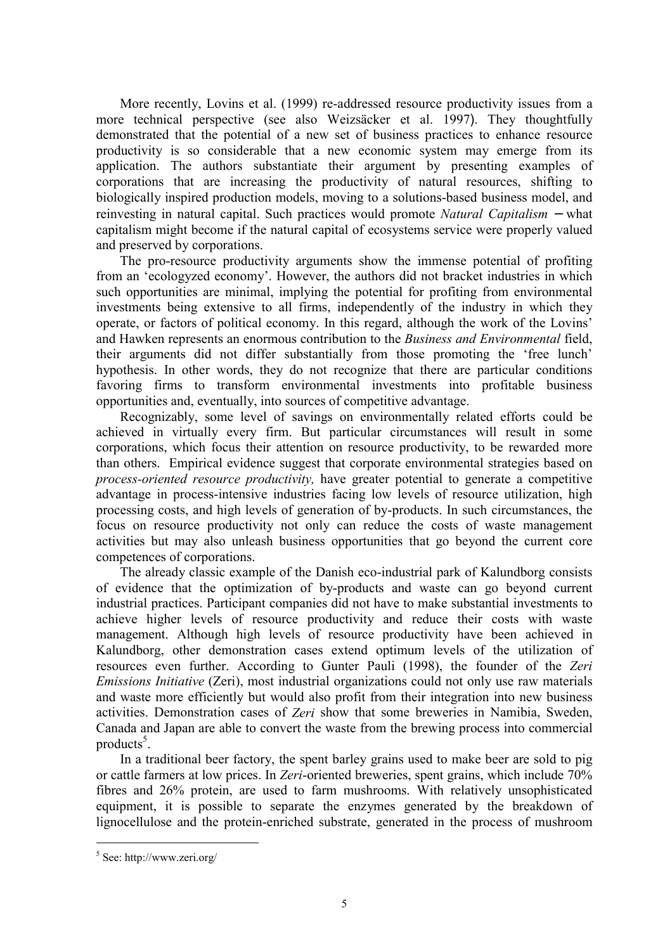More recently, Lovins et al. (1999) re-addressed resource productivity issues from a more technical perspective (see also Weizsäcker et al. 1997). They thoughtfully demonstrated that the potential of a new set of business practices to enhance resource productivity is so considerable that a new economic system may emerge from its application. The authors substantiate their argument by presenting examples of corporations that are increasing the productivity of natural resources, shifting to biologically inspired production models, moving to a solutions-based business model, and reinvesting in natural capital. Such practices would promote Natural Capitalism – what capitalism might become if the natural capital of ecosystems service were properly valued and preserved by corporations.

The pro-resource productivity arguments show the immense potential of profiting from an 'ecologyzed economy'. However, the authors did not bracket industries in which such opportunities are minimal, implying the potential for profiting from environmental investments being extensive to all firms, independently of the industry in which they operate, or factors of political economy. In this regard, although the work of the Lovins' and Hawken represents an enormous contribution to the *Business and Environmental* field, their arguments did not differ substantially from those promoting the 'free lunch' hypothesis. In other words, they do not recognize that there are particular conditions favoring firms to transform environmental investments into profitable business opportunities and, eventually, into sources of competitive advantage.

Recognizably, some level of savings on environmentally related efforts could be achieved in virtually every firm. But particular circumstances will result in some corporations, which focus their attention on resource productivity, to be rewarded more than others. Empirical evidence suggest that corporate environmental strategies based on *process-oriented resource productivity*, have greater potential to generate a competitive advantage in process-intensive industries facing low levels of resource utilization, high processing costs, and high levels of generation of by-products. In such circumstances, the focus on resource productivity not only can reduce the costs of waste management activities but may also unleash business opportunities that go beyond the current core competences of corporations.

The already classic example of the Danish eco-industrial park of Kalundborg consists of evidence that the optimization of by-products and waste can go beyond current industrial practices. Participant companies did not have to make substantial investments to achieve higher levels of resource productivity and reduce their costs with waste management. Although high levels of resource productivity have been achieved in Kalundborg, other demonstration cases extend optimum levels of the utilization of resources even further. According to Gunter Pauli (1998), the founder of the Zeri *Emissions Initiative (Zeri)*, most industrial organizations could not only use raw materials and waste more efficiently but would also profit from their integration into new business activities. Demonstration cases of Zeri show that some breweries in Namibia, Sweden, Canada and Japan are able to convert the waste from the brewing process into commercial products<sup>5</sup>.

In a traditional beer factory, the spent barley grains used to make beer are sold to pig or cattle farmers at low prices. In Zeri-oriented breweries, spent grains, which include 70% fibres and 26% protein, are used to farm mushrooms. With relatively unsophisticated equipment, it is possible to separate the enzymes generated by the breakdown of lignocellulose and the protein-enriched substrate, generated in the process of mushroom

 $5$  See: http://www.zeri.org/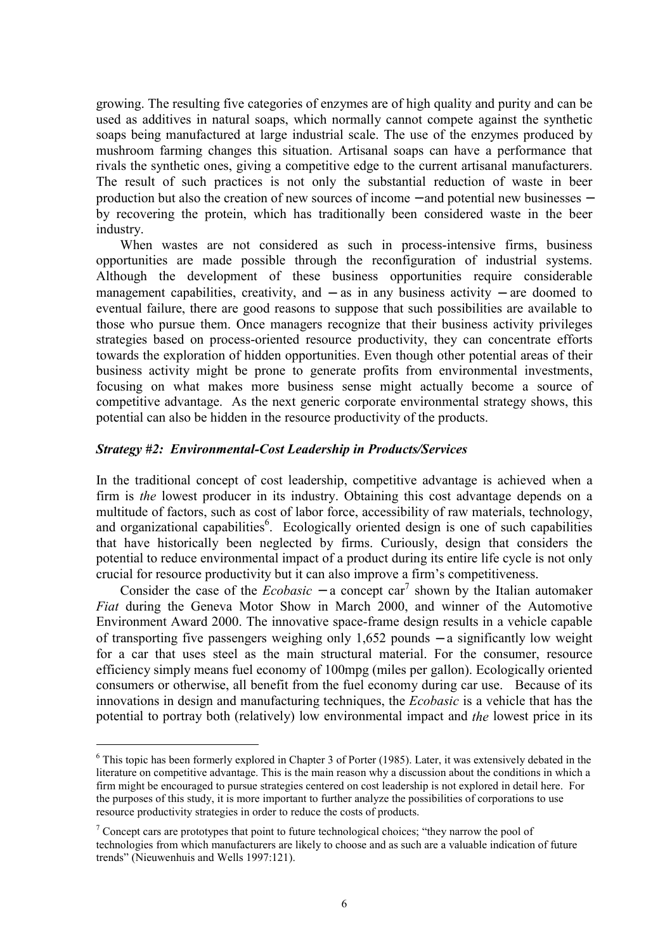growing. The resulting five categories of enzymes are of high quality and purity and can be used as additives in natural soaps, which normally cannot compete against the synthetic soaps being manufactured at large industrial scale. The use of the enzymes produced by mushroom farming changes this situation. Artisanal soaps can have a performance that rivals the synthetic ones, giving a competitive edge to the current artisanal manufacturers. The result of such practices is not only the substantial reduction of waste in beer production but also the creation of new sources of income  $-$  and potential new businesses  $$ by recovering the protein, which has traditionally been considered waste in the beer industry.

When wastes are not considered as such in process-intensive firms, business opportunities are made possible through the reconfiguration of industrial systems. Although the development of these business opportunities require considerable management capabilities, creativity, and  $-$  as in any business activity  $-$  are doomed to eventual failure, there are good reasons to suppose that such possibilities are available to those who pursue them. Once managers recognize that their business activity privileges strategies based on process-oriented resource productivity, they can concentrate efforts towards the exploration of hidden opportunities. Even though other potential areas of their business activity might be prone to generate profits from environmental investments, focusing on what makes more business sense might actually become a source of competitive advantage. As the next generic corporate environmental strategy shows, this potential can also be hidden in the resource productivity of the products.

### Strategy #2: Environmental-Cost Leadership in Products/Services

In the traditional concept of cost leadership, competitive advantage is achieved when a firm is the lowest producer in its industry. Obtaining this cost advantage depends on a multitude of factors, such as cost of labor force, accessibility of raw materials, technology, and organizational capabilities<sup>6</sup>. Ecologically oriented design is one of such capabilities that have historically been neglected by firms. Curiously, design that considers the potential to reduce environmental impact of a product during its entire life cycle is not only crucial for resource productivity but it can also improve a firm's competitiveness.

Consider the case of the *Ecobasic* – a concept car<sup>7</sup> shown by the Italian automaker Fiat during the Geneva Motor Show in March 2000, and winner of the Automotive Environment Award 2000. The innovative space-frame design results in a vehicle capable of transporting five passengers weighing only  $1,652$  pounds – a significantly low weight for a car that uses steel as the main structural material. For the consumer, resource efficiency simply means fuel economy of 100mpg (miles per gallon). Ecologically oriented consumers or otherwise, all benefit from the fuel economy during car use. Because of its innovations in design and manufacturing techniques, the *Ecobasic* is a vehicle that has the potential to portray both (relatively) low environmental impact and the lowest price in its

 $6$  This topic has been formerly explored in Chapter 3 of Porter (1985). Later, it was extensively debated in the literature on competitive advantage. This is the main reason why a discussion about the conditions in which a firm might be encouraged to pursue strategies centered on cost leadership is not explored in detail here. For the purposes of this study, it is more important to further analyze the possibilities of corporations to use resource productivity strategies in order to reduce the costs of products.

<sup>&</sup>lt;sup>7</sup> Concept cars are prototypes that point to future technological choices; "they narrow the pool of technologies from which manufacturers are likely to choose and as such are a valuable indication of future trends" (Nieuwenhuis and Wells 1997:121).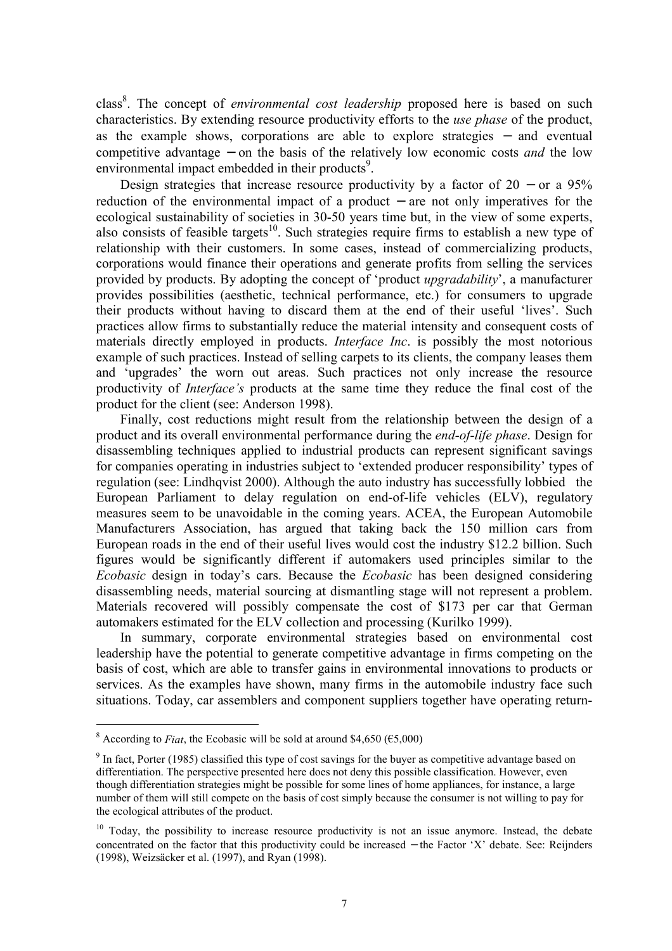class<sup>8</sup>. The concept of *environmental cost leadership* proposed here is based on such characteristics. By extending resource productivity efforts to the *use phase* of the product, as the example shows, corporations are able to explore strategies – and eventual competitive advantage – on the basis of the relatively low economic costs and the low environmental impact embedded in their products<sup>9</sup>.

Design strategies that increase resource productivity by a factor of  $20 -$  or a 95% reduction of the environmental impact of a product  $-$  are not only imperatives for the ecological sustainability of societies in 30-50 years time but, in the view of some experts, also consists of feasible targets<sup>10</sup>. Such strategies require firms to establish a new type of relationship with their customers. In some cases, instead of commercializing products, corporations would finance their operations and generate profits from selling the services provided by products. By adopting the concept of 'product *upgradability*', a manufacturer provides possibilities (aesthetic, technical performance, etc.) for consumers to upgrade their products without having to discard them at the end of their useful 'lives'. Such practices allow firms to substantially reduce the material intensity and consequent costs of materials directly employed in products. *Interface Inc.* is possibly the most notorious example of such practices. Instead of selling carpets to its clients, the company leases them and 'upgrades' the worn out areas. Such practices not only increase the resource productivity of *Interface's* products at the same time they reduce the final cost of the product for the client (see: Anderson 1998).

Finally, cost reductions might result from the relationship between the design of a product and its overall environmental performance during the *end-of-life phase*. Design for disassembling techniques applied to industrial products can represent significant savings for companies operating in industries subject to 'extended producer responsibility' types of regulation (see: Lindhqvist 2000). Although the auto industry has successfully lobbied the European Parliament to delay regulation on end-of-life vehicles (ELV), regulatory measures seem to be unavoidable in the coming years. ACEA, the European Automobile Manufacturers Association, has argued that taking back the 150 million cars from European roads in the end of their useful lives would cost the industry \$12.2 billion. Such figures would be significantly different if automakers used principles similar to the *Ecobasic* design in today's cars. Because the *Ecobasic* has been designed considering disassembling needs, material sourcing at dismantling stage will not represent a problem. Materials recovered will possibly compensate the cost of \$173 per car that German automakers estimated for the ELV collection and processing (Kurilko 1999).

In summary, corporate environmental strategies based on environmental cost leadership have the potential to generate competitive advantage in firms competing on the basis of cost, which are able to transfer gains in environmental innovations to products or services. As the examples have shown, many firms in the automobile industry face such situations. Today, car assemblers and component suppliers together have operating return-

<sup>&</sup>lt;sup>8</sup> According to *Fiat* the Ecobasic will be sold at around \$4,650 ( $65,000$ )

<sup>&</sup>lt;sup>9</sup> In fact, Porter (1985) classified this type of cost savings for the buyer as competitive advantage based on differentiation. The perspective presented here does not deny this possible classification. However, even though differentiation strategies might be possible for some lines of home appliances, for instance, a large number of them will still compete on the basis of cost simply because the consumer is not willing to pay for the ecological attributes of the product.

<sup>&</sup>lt;sup>10</sup> Today, the possibility to increase resource productivity is not an issue anymore. Instead, the debate concentrated on the factor that this productivity could be increased – the Factor 'X' debate. See: Reijnders (1998), Weizsäcker et al. (1997), and Ryan (1998).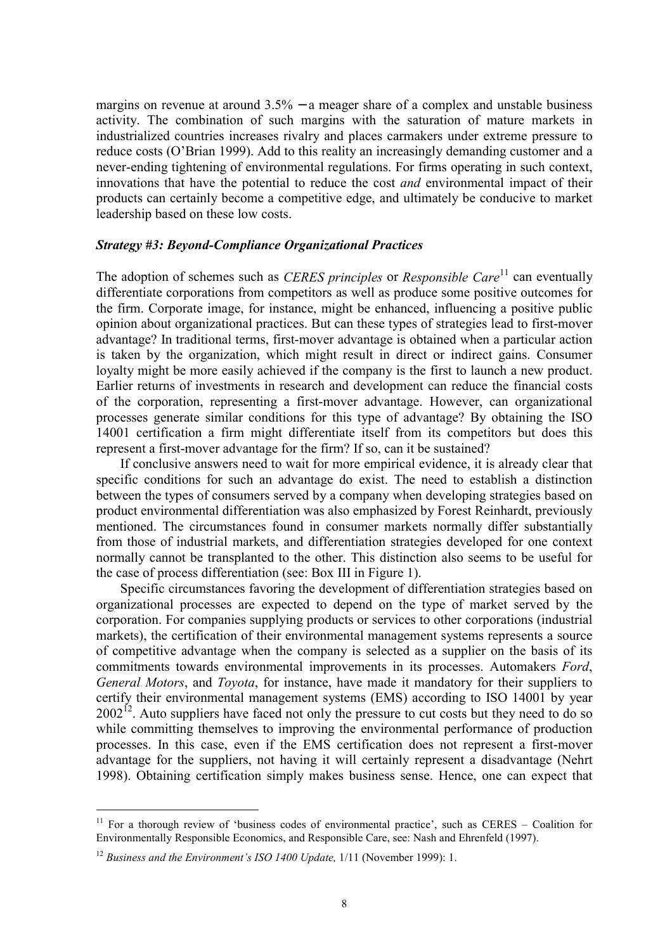margins on revenue at around  $3.5\%$  – a meager share of a complex and unstable business activity. The combination of such margins with the saturation of mature markets in industrialized countries increases rivalry and places carmakers under extreme pressure to reduce costs (O'Brian 1999). Add to this reality an increasingly demanding customer and a never-ending tightening of environmental regulations. For firms operating in such context, innovations that have the potential to reduce the cost *and* environmental impact of their products can certainly become a competitive edge, and ultimately be conducive to market leadership based on these low costs.

## **Strategy #3: Beyond-Compliance Organizational Practices**

The adoption of schemes such as *CERES principles* or *Responsible Care*<sup>11</sup> can eventually differentiate corporations from competitors as well as produce some positive outcomes for the firm. Corporate image, for instance, might be enhanced, influencing a positive public opinion about organizational practices. But can these types of strategies lead to first-mover advantage? In traditional terms, first-mover advantage is obtained when a particular action is taken by the organization, which might result in direct or indirect gains. Consumer loyalty might be more easily achieved if the company is the first to launch a new product. Earlier returns of investments in research and development can reduce the financial costs of the corporation, representing a first-mover advantage. However, can organizational processes generate similar conditions for this type of advantage? By obtaining the ISO 14001 certification a firm might differentiate itself from its competitors but does this represent a first-mover advantage for the firm? If so, can it be sustained?

If conclusive answers need to wait for more empirical evidence, it is already clear that specific conditions for such an advantage do exist. The need to establish a distinction between the types of consumers served by a company when developing strategies based on product environmental differentiation was also emphasized by Forest Reinhardt, previously mentioned. The circumstances found in consumer markets normally differ substantially from those of industrial markets, and differentiation strategies developed for one context normally cannot be transplanted to the other. This distinction also seems to be useful for the case of process differentiation (see: Box III in Figure 1).

Specific circumstances favoring the development of differentiation strategies based on organizational processes are expected to depend on the type of market served by the corporation. For companies supplying products or services to other corporations (industrial markets), the certification of their environmental management systems represents a source of competitive advantage when the company is selected as a supplier on the basis of its commitments towards environmental improvements in its processes. Automakers Ford, General Motors, and Toyota, for instance, have made it mandatory for their suppliers to certify their environmental management systems (EMS) according to ISO 14001 by year  $2002^{12}$ . Auto suppliers have faced not only the pressure to cut costs but they need to do so while committing themselves to improving the environmental performance of production processes. In this case, even if the EMS certification does not represent a first-mover advantage for the suppliers, not having it will certainly represent a disadvantage (Nehrt 1998). Obtaining certification simply makes business sense. Hence, one can expect that

 $11$  For a thorough review of 'business codes of environmental practice' such as CERES – Coalition for Environmentally Responsible Economics, and Responsible Care, see: Nash and Ehrenfeld (1997).

<sup>&</sup>lt;sup>12</sup> Business and the Environment's ISO 1400 Update,  $1/11$  (November 1999): 1.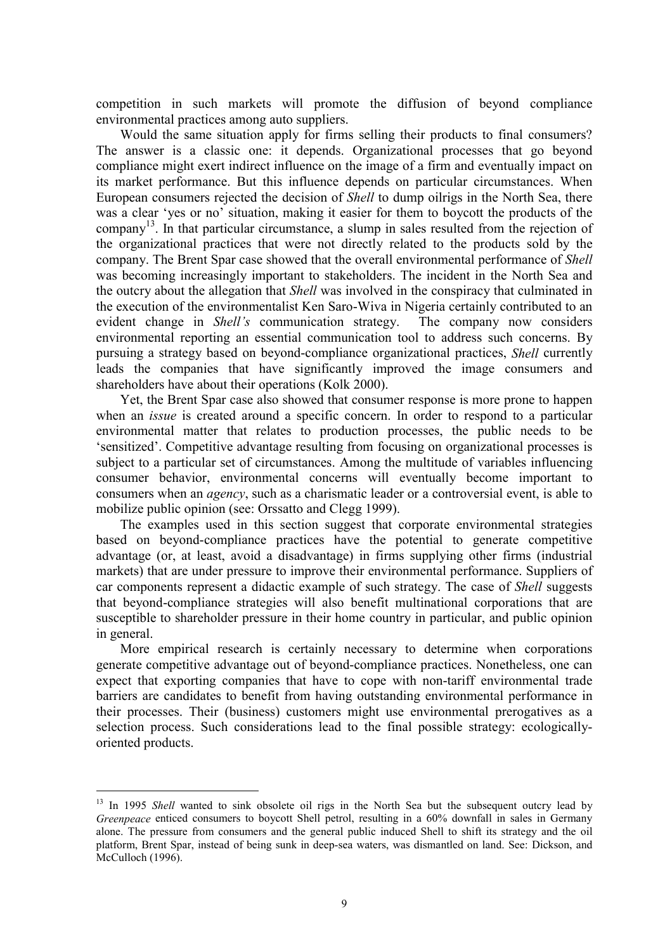competition in such markets will promote the diffusion of beyond compliance environmental practices among auto suppliers.

Would the same situation apply for firms selling their products to final consumers? The answer is a classic one: it depends. Organizational processes that go beyond compliance might exert indirect influence on the image of a firm and eventually impact on its market performance. But this influence depends on particular circumstances. When European consumers rejected the decision of *Shell* to dump oilrigs in the North Sea, there was a clear 'yes or no' situation, making it easier for them to boycott the products of the company<sup>13</sup>. In that particular circumstance, a slump in sales resulted from the rejection of the organizational practices that were not directly related to the products sold by the company. The Brent Spar case showed that the overall environmental performance of Shell was becoming increasingly important to stakeholders. The incident in the North Sea and the outcry about the allegation that *Shell* was involved in the conspiracy that culminated in the execution of the environmentalist Ken Saro-Wiva in Nigeria certainly contributed to an evident change in *Shell's* communication strategy. The company now considers environmental reporting an essential communication tool to address such concerns. By pursuing a strategy based on beyond-compliance organizational practices, *Shell* currently leads the companies that have significantly improved the image consumers and shareholders have about their operations (Kolk 2000).

Yet, the Brent Spar case also showed that consumer response is more prone to happen when an *issue* is created around a specific concern. In order to respond to a particular environmental matter that relates to production processes, the public needs to be 'sensitized'. Competitive advantage resulting from focusing on organizational processes is subject to a particular set of circumstances. Among the multitude of variables influencing consumer behavior, environmental concerns will eventually become important to consumers when an *agency*, such as a charismatic leader or a controversial event, is able to mobilize public opinion (see: Orssatto and Clegg 1999).

The examples used in this section suggest that corporate environmental strategies based on beyond-compliance practices have the potential to generate competitive advantage (or, at least, avoid a disadvantage) in firms supplying other firms (industrial markets) that are under pressure to improve their environmental performance. Suppliers of car components represent a didactic example of such strategy. The case of *Shell* suggests that beyond-compliance strategies will also benefit multinational corporations that are susceptible to shareholder pressure in their home country in particular, and public opinion in general.

More empirical research is certainly necessary to determine when corporations generate competitive advantage out of beyond-compliance practices. Nonetheless, one can expect that exporting companies that have to cope with non-tariff environmental trade barriers are candidates to benefit from having outstanding environmental performance in their processes. Their (business) customers might use environmental prerogatives as a selection process. Such considerations lead to the final possible strategy: ecologicallyoriented products.

<sup>&</sup>lt;sup>13</sup> In 1995 *Shell* wanted to sink obsolete oil rigs in the North Sea but the subsequent outcry lead by Greenpeace enticed consumers to boycott Shell petrol, resulting in a 60% downfall in sales in Germany alone. The pressure from consumers and the general public induced Shell to shift its strategy and the oil platform, Brent Spar, instead of being sunk in deep-sea waters, was dismantled on land. See: Dickson, and McCulloch (1996).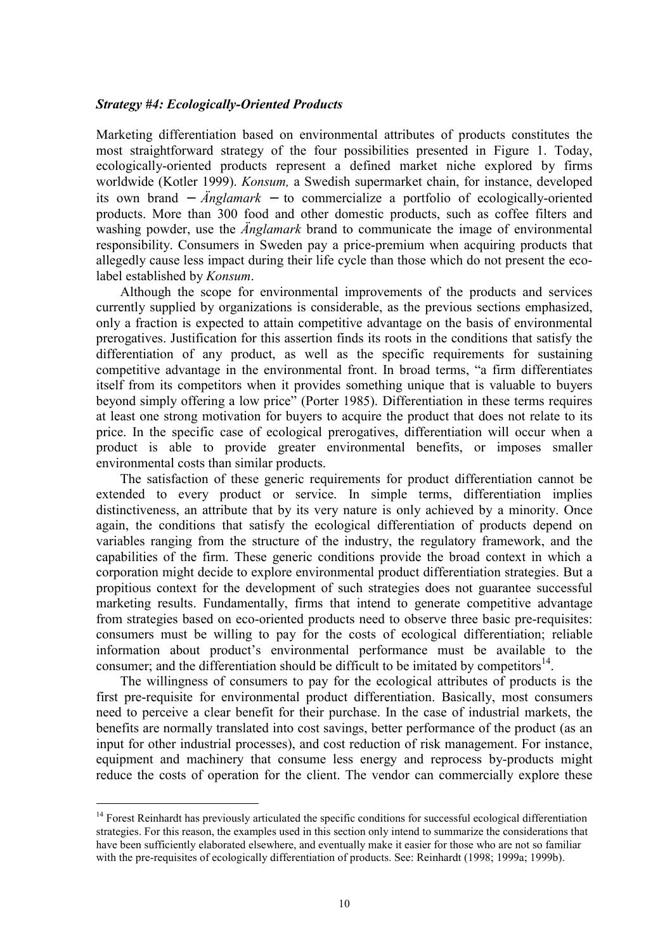#### **Strategy #4: Ecologically-Oriented Products**

Marketing differentiation based on environmental attributes of products constitutes the most straightforward strategy of the four possibilities presented in Figure 1. Today, ecologically-oriented products represent a defined market niche explored by firms worldwide (Kotler 1999). Konsum, a Swedish supermarket chain, for instance, developed its own brand –  $\ddot{A}$ nglamark – to commercialize a portfolio of ecologically-oriented products. More than 300 food and other domestic products, such as coffee filters and washing powder, use the *Anglamark* brand to communicate the image of environmental responsibility. Consumers in Sweden pay a price-premium when acquiring products that allegedly cause less impact during their life cycle than those which do not present the ecolabel established by *Konsum*.

Although the scope for environmental improvements of the products and services currently supplied by organizations is considerable, as the previous sections emphasized, only a fraction is expected to attain competitive advantage on the basis of environmental prerogatives. Justification for this assertion finds its roots in the conditions that satisfy the differentiation of any product, as well as the specific requirements for sustaining competitive advantage in the environmental front. In broad terms, "a firm differentiates itself from its competitors when it provides something unique that is valuable to buyers beyond simply offering a low price" (Porter 1985). Differentiation in these terms requires at least one strong motivation for buyers to acquire the product that does not relate to its price. In the specific case of ecological prerogatives, differentiation will occur when a product is able to provide greater environmental benefits, or imposes smaller environmental costs than similar products.

The satisfaction of these generic requirements for product differentiation cannot be extended to every product or service. In simple terms, differentiation implies distinctiveness, an attribute that by its very nature is only achieved by a minority. Once again, the conditions that satisfy the ecological differentiation of products depend on variables ranging from the structure of the industry, the regulatory framework, and the capabilities of the firm. These generic conditions provide the broad context in which a corporation might decide to explore environmental product differentiation strategies. But a propitious context for the development of such strategies does not guarantee successful marketing results. Fundamentally, firms that intend to generate competitive advantage from strategies based on eco-oriented products need to observe three basic pre-requisites: consumers must be willing to pay for the costs of ecological differentiation; reliable information about product's environmental performance must be available to the consumer; and the differentiation should be difficult to be imitated by competitors  $14$ .

The willingness of consumers to pay for the ecological attributes of products is the first pre-requisite for environmental product differentiation. Basically, most consumers need to perceive a clear benefit for their purchase. In the case of industrial markets, the benefits are normally translated into cost savings, better performance of the product (as an input for other industrial processes), and cost reduction of risk management. For instance, equipment and machinery that consume less energy and reprocess by-products might reduce the costs of operation for the client. The vendor can commercially explore these

 $14$  Forest Reinhardt has previously articulated the specific conditions for successful ecological differentiation strategies. For this reason, the examples used in this section only intend to summarize the considerations that have been sufficiently elaborated elsewhere, and eventually make it easier for those who are not so familiar with the pre-requisites of ecologically differentiation of products. See: Reinhardt (1998; 1999a; 1999b).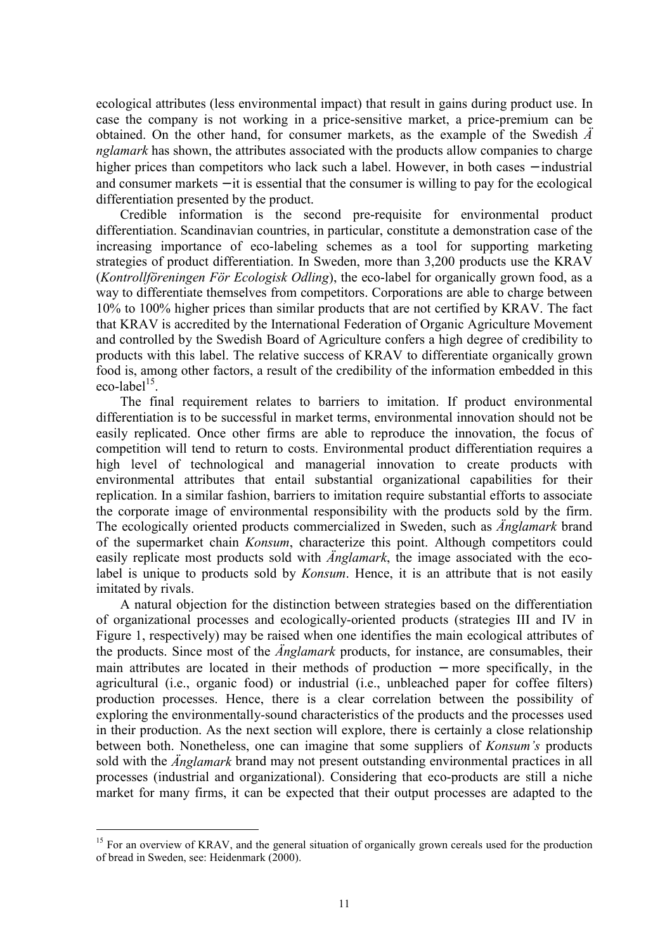ecological attributes (less environmental impact) that result in gains during product use. In case the company is not working in a price-sensitive market, a price-premium can be obtained. On the other hand, for consumer markets, as the example of the Swedish  $\ddot{A}$ nglamark has shown, the attributes associated with the products allow companies to charge higher prices than competitors who lack such a label. However, in both cases – industrial and consumer markets  $-$  it is essential that the consumer is willing to pay for the ecological differentiation presented by the product.

Credible information is the second pre-requisite for environmental product differentiation. Scandinavian countries, in particular, constitute a demonstration case of the increasing importance of eco-labeling schemes as a tool for supporting marketing strategies of product differentiation. In Sweden, more than 3,200 products use the KRAV (Kontrollföreningen För Ecologisk Odling), the eco-label for organically grown food, as a way to differentiate themselves from competitors. Corporations are able to charge between 10% to 100% higher prices than similar products that are not certified by KRAV. The fact that KRAV is accredited by the International Federation of Organic Agriculture Movement and controlled by the Swedish Board of Agriculture confers a high degree of credibility to products with this label. The relative success of KRAV to differentiate organically grown food is, among other factors, a result of the credibility of the information embedded in this eco-label $^{15}$ .

The final requirement relates to barriers to imitation. If product environmental differentiation is to be successful in market terms, environmental innovation should not be easily replicated. Once other firms are able to reproduce the innovation, the focus of competition will tend to return to costs. Environmental product differentiation requires a high level of technological and managerial innovation to create products with environmental attributes that entail substantial organizational capabilities for their replication. In a similar fashion, barriers to imitation require substantial efforts to associate the corporate image of environmental responsibility with the products sold by the firm. The ecologically oriented products commercialized in Sweden, such as *Anglamark* brand of the supermarket chain *Konsum*, characterize this point. Although competitors could easily replicate most products sold with *Anglamark*, the image associated with the ecolabel is unique to products sold by *Konsum*. Hence, it is an attribute that is not easily imitated by rivals.

A natural objection for the distinction between strategies based on the differentiation of organizational processes and ecologically-oriented products (strategies III and IV in Figure 1, respectively) may be raised when one identifies the main ecological attributes of the products. Since most of the *Änglamark* products, for instance, are consumables, their main attributes are located in their methods of production – more specifically, in the agricultural (i.e., organic food) or industrial (i.e., unbleached paper for coffee filters) production processes. Hence, there is a clear correlation between the possibility of exploring the environmentally-sound characteristics of the products and the processes used in their production. As the next section will explore, there is certainly a close relationship between both. Nonetheless, one can imagine that some suppliers of *Konsum's* products sold with the *Anglamark* brand may not present outstanding environmental practices in all processes (industrial and organizational). Considering that eco-products are still a niche market for many firms, it can be expected that their output processes are adapted to the

 $<sup>15</sup>$  For an overview of KRAV, and the general situation of organically grown cereals used for the production</sup> of bread in Sweden, see: Heidenmark (2000).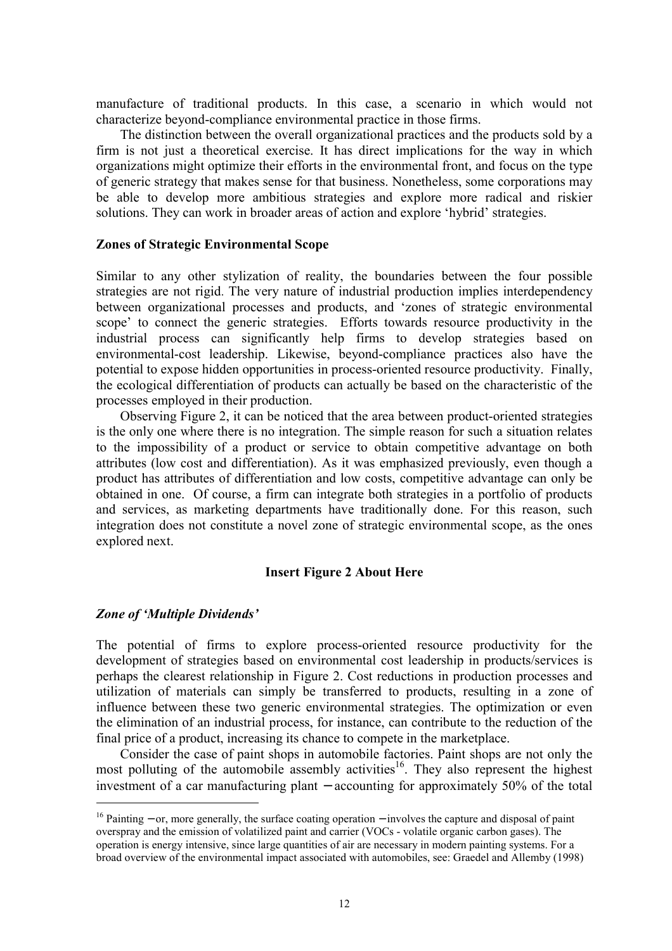manufacture of traditional products. In this case, a scenario in which would not characterize beyond-compliance environmental practice in those firms.

The distinction between the overall organizational practices and the products sold by a firm is not just a theoretical exercise. It has direct implications for the way in which organizations might optimize their efforts in the environmental front, and focus on the type of generic strategy that makes sense for that business. Nonetheless, some corporations may be able to develop more ambitious strategies and explore more radical and riskier solutions. They can work in broader areas of action and explore 'hybrid' strategies.

#### **Zones of Strategic Environmental Scope**

Similar to any other stylization of reality, the boundaries between the four possible strategies are not rigid. The very nature of industrial production implies interdependency between organizational processes and products, and 'zones of strategic environmental scope' to connect the generic strategies. Efforts towards resource productivity in the industrial process can significantly help firms to develop strategies based on environmental-cost leadership. Likewise, beyond-compliance practices also have the potential to expose hidden opportunities in process-oriented resource productivity. Finally, the ecological differentiation of products can actually be based on the characteristic of the processes employed in their production.

Observing Figure 2, it can be noticed that the area between product-oriented strategies is the only one where there is no integration. The simple reason for such a situation relates to the impossibility of a product or service to obtain competitive advantage on both attributes (low cost and differentiation). As it was emphasized previously, even though a product has attributes of differentiation and low costs, competitive advantage can only be obtained in one. Of course, a firm can integrate both strategies in a portfolio of products and services, as marketing departments have traditionally done. For this reason, such integration does not constitute a novel zone of strategic environmental scope, as the ones explored next.

## **Insert Figure 2 About Here**

## **Zone of 'Multiple Dividends'**

The potential of firms to explore process-oriented resource productivity for the development of strategies based on environmental cost leadership in products/services is perhaps the clearest relationship in Figure 2. Cost reductions in production processes and utilization of materials can simply be transferred to products, resulting in a zone of influence between these two generic environmental strategies. The optimization or even the elimination of an industrial process, for instance, can contribute to the reduction of the final price of a product, increasing its chance to compete in the marketplace.

Consider the case of paint shops in automobile factories. Paint shops are not only the most polluting of the automobile assembly activities<sup>16</sup>. They also represent the highest investment of a car manufacturing plant  $-$  accounting for approximately 50% of the total

 $16$  Painting – or, more generally, the surface coating operation – involves the capture and disposal of paint overspray and the emission of volatilized paint and carrier (VOCs - volatile organic carbon gases). The operation is energy intensive, since large quantities of air are necessary in modern painting systems. For a broad overview of the environmental impact associated with automobiles, see: Graedel and Allemby (1998)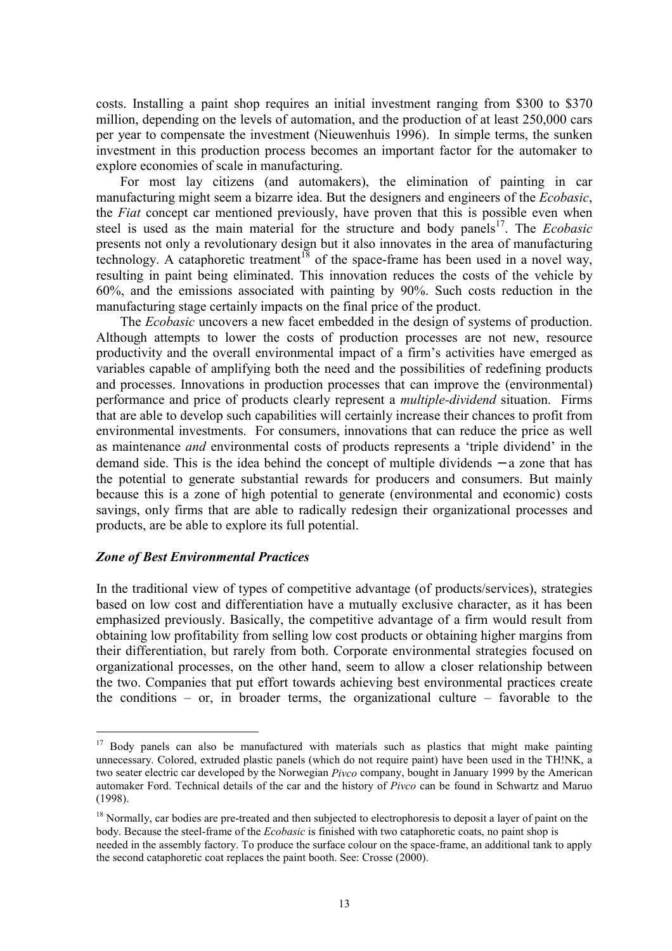costs. Installing a paint shop requires an initial investment ranging from \$300 to \$370 million, depending on the levels of automation, and the production of at least 250,000 cars per year to compensate the investment (Nieuwenhuis 1996). In simple terms, the sunken investment in this production process becomes an important factor for the automaker to explore economies of scale in manufacturing.

For most lay citizens (and automakers), the elimination of painting in car manufacturing might seem a bizarre idea. But the designers and engineers of the *Ecobasic*, the *Fiat* concept car mentioned previously, have proven that this is possible even when steel is used as the main material for the structure and body panels<sup>17</sup>. The *Ecobasic* presents not only a revolutionary design but it also innovates in the area of manufacturing technology. A cataphoretic treatment<sup>18</sup> of the space-frame has been used in a novel way, resulting in paint being eliminated. This innovation reduces the costs of the vehicle by 60%, and the emissions associated with painting by 90%. Such costs reduction in the manufacturing stage certainly impacts on the final price of the product.

The *Ecobasic* uncovers a new facet embedded in the design of systems of production. Although attempts to lower the costs of production processes are not new, resource productivity and the overall environmental impact of a firm's activities have emerged as variables capable of amplifying both the need and the possibilities of redefining products and processes. Innovations in production processes that can improve the (environmental) performance and price of products clearly represent a *multiple-dividend* situation. Firms that are able to develop such capabilities will certainly increase their chances to profit from environmental investments. For consumers, innovations that can reduce the price as well as maintenance *and* environmental costs of products represents a 'triple dividend' in the demand side. This is the idea behind the concept of multiple dividends  $-$  a zone that has the potential to generate substantial rewards for producers and consumers. But mainly because this is a zone of high potential to generate (environmental and economic) costs savings, only firms that are able to radically redesign their organizational processes and products, are be able to explore its full potential.

#### **Zone of Best Environmental Practices**

In the traditional view of types of competitive advantage (of products/services), strategies based on low cost and differentiation have a mutually exclusive character, as it has been emphasized previously. Basically, the competitive advantage of a firm would result from obtaining low profitability from selling low cost products or obtaining higher margins from their differentiation, but rarely from both. Corporate environmental strategies focused on organizational processes, on the other hand, seem to allow a closer relationship between the two. Companies that put effort towards achieving best environmental practices create the conditions – or, in broader terms, the organizational culture – favorable to the

<sup>&</sup>lt;sup>17</sup> Body panels can also be manufactured with materials such as plastics that might make painting unnecessary. Colored, extruded plastic panels (which do not require paint) have been used in the TH!NK, a two seater electric car developed by the Norwegian *Pivco* company, bought in January 1999 by the American automaker Ford. Technical details of the car and the history of *Pivco* can be found in Schwartz and Maruo  $(1998).$ 

 $^{18}$  Normally, car bodies are pre-treated and then subjected to electrophoresis to deposit a layer of paint on the body. Because the steel-frame of the *Ecobasic* is finished with two cataphoretic coats, no paint shop is needed in the assembly factory. To produce the surface colour on the space-frame, an additional tank to apply the second cataphoretic coat replaces the paint booth. See: Crosse (2000).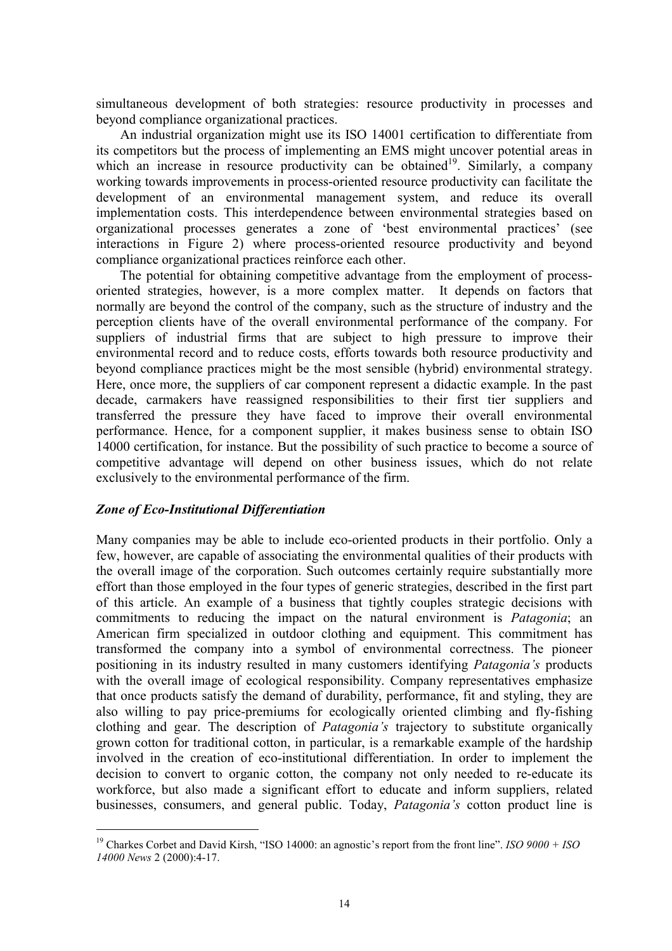simultaneous development of both strategies: resource productivity in processes and beyond compliance organizational practices.

An industrial organization might use its ISO 14001 certification to differentiate from its competitors but the process of implementing an EMS might uncover potential areas in which an increase in resource productivity can be obtained<sup>19</sup>. Similarly, a company working towards improvements in process-oriented resource productivity can facilitate the development of an environmental management system, and reduce its overall implementation costs. This interdependence between environmental strategies based on organizational processes generates a zone of 'best environmental practices' (see interactions in Figure 2) where process-oriented resource productivity and beyond compliance organizational practices reinforce each other.

The potential for obtaining competitive advantage from the employment of processoriented strategies, however, is a more complex matter. It depends on factors that normally are beyond the control of the company, such as the structure of industry and the perception clients have of the overall environmental performance of the company. For suppliers of industrial firms that are subject to high pressure to improve their environmental record and to reduce costs, efforts towards both resource productivity and beyond compliance practices might be the most sensible (hybrid) environmental strategy. Here, once more, the suppliers of car component represent a didactic example. In the past decade, carmakers have reassigned responsibilities to their first tier suppliers and transferred the pressure they have faced to improve their overall environmental performance. Hence, for a component supplier, it makes business sense to obtain ISO 14000 certification, for instance. But the possibility of such practice to become a source of competitive advantage will depend on other business issues, which do not relate exclusively to the environmental performance of the firm.

## **Zone of Eco-Institutional Differentiation**

Many companies may be able to include eco-oriented products in their portfolio. Only a few, however, are capable of associating the environmental qualities of their products with the overall image of the corporation. Such outcomes certainly require substantially more effort than those employed in the four types of generic strategies, described in the first part of this article. An example of a business that tightly couples strategic decisions with commitments to reducing the impact on the natural environment is *Patagonia*; an American firm specialized in outdoor clothing and equipment. This commitment has transformed the company into a symbol of environmental correctness. The pioneer positioning in its industry resulted in many customers identifying *Patagonia's* products with the overall image of ecological responsibility. Company representatives emphasize that once products satisfy the demand of durability, performance, fit and styling, they are also willing to pay price-premiums for ecologically oriented climbing and fly-fishing clothing and gear. The description of *Patagonia's* trajectory to substitute organically grown cotton for traditional cotton, in particular, is a remarkable example of the hardship involved in the creation of eco-institutional differentiation. In order to implement the decision to convert to organic cotton, the company not only needed to re-educate its workforce, but also made a significant effort to educate and inform suppliers, related businesses, consumers, and general public. Today, Patagonia's cotton product line is

<sup>&</sup>lt;sup>19</sup> Charkes Corbet and David Kirsh, "ISO 14000: an agnostic's report from the front line". ISO  $9000 + ISO$ 14000 News 2 (2000):4-17.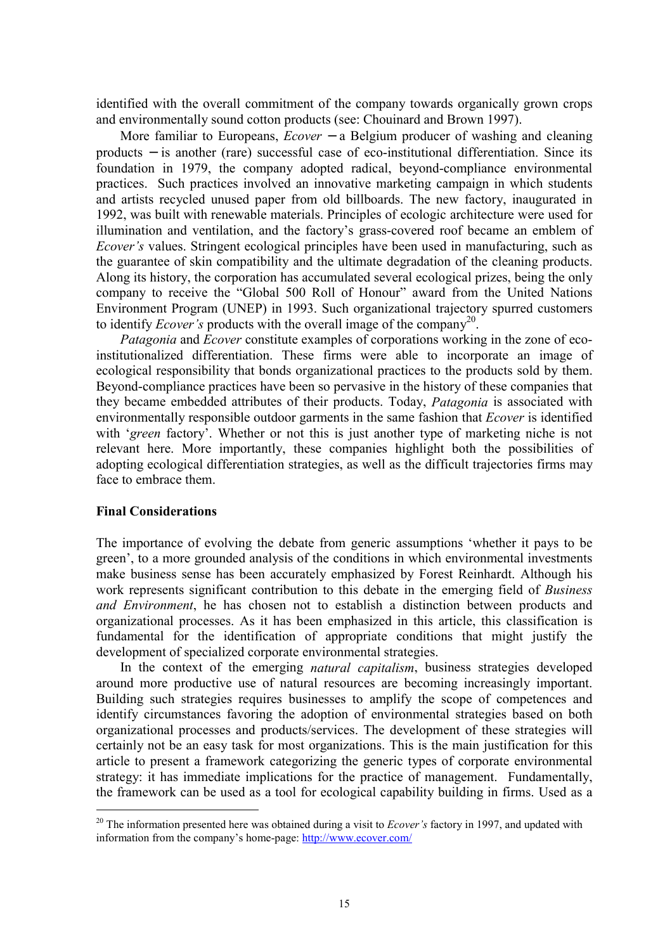identified with the overall commitment of the company towards organically grown crops and environmentally sound cotton products (see: Chouinard and Brown 1997).

More familiar to Europeans,  $Ecover - a$  Belgium producer of washing and cleaning products – is another (rare) successful case of eco-institutional differentiation. Since its foundation in 1979, the company adopted radical, beyond-compliance environmental practices. Such practices involved an innovative marketing campaign in which students and artists recycled unused paper from old billboards. The new factory, inaugurated in 1992, was built with renewable materials. Principles of ecologic architecture were used for illumination and ventilation, and the factory's grass-covered roof became an emblem of *Ecover's* values. Stringent ecological principles have been used in manufacturing, such as the guarantee of skin compatibility and the ultimate degradation of the cleaning products. Along its history, the corporation has accumulated several ecological prizes, being the only company to receive the "Global 500 Roll of Honour" award from the United Nations Environment Program (UNEP) in 1993. Such organizational trajectory spurred customers to identify *Ecover's* products with the overall image of the company<sup>20</sup>.

*Patagonia* and *Ecover* constitute examples of corporations working in the zone of ecoinstitutionalized differentiation. These firms were able to incorporate an image of ecological responsibility that bonds organizational practices to the products sold by them. Beyond-compliance practices have been so pervasive in the history of these companies that they became embedded attributes of their products. Today, *Patagonia* is associated with environmentally responsible outdoor garments in the same fashion that *Ecover* is identified with 'green factory'. Whether or not this is just another type of marketing niche is not relevant here. More importantly, these companies highlight both the possibilities of adopting ecological differentiation strategies, as well as the difficult trajectories firms may face to embrace them

## **Final Considerations**

The importance of evolving the debate from generic assumptions 'whether it pays to be green', to a more grounded analysis of the conditions in which environmental investments make business sense has been accurately emphasized by Forest Reinhardt. Although his work represents significant contribution to this debate in the emerging field of *Business* and Environment, he has chosen not to establish a distinction between products and organizational processes. As it has been emphasized in this article, this classification is fundamental for the identification of appropriate conditions that might justify the development of specialized corporate environmental strategies.

In the context of the emerging *natural capitalism*, business strategies developed around more productive use of natural resources are becoming increasingly important. Building such strategies requires businesses to amplify the scope of competences and identify circumstances favoring the adoption of environmental strategies based on both organizational processes and products/services. The development of these strategies will certainly not be an easy task for most organizations. This is the main justification for this article to present a framework categorizing the generic types of corporate environmental strategy: it has immediate implications for the practice of management. Fundamentally, the framework can be used as a tool for ecological capability building in firms. Used as a

 $^{20}$  The information presented here was obtained during a visit to *Ecover's* factory in 1997, and updated with information from the company's home-page: http://www.ecover.com/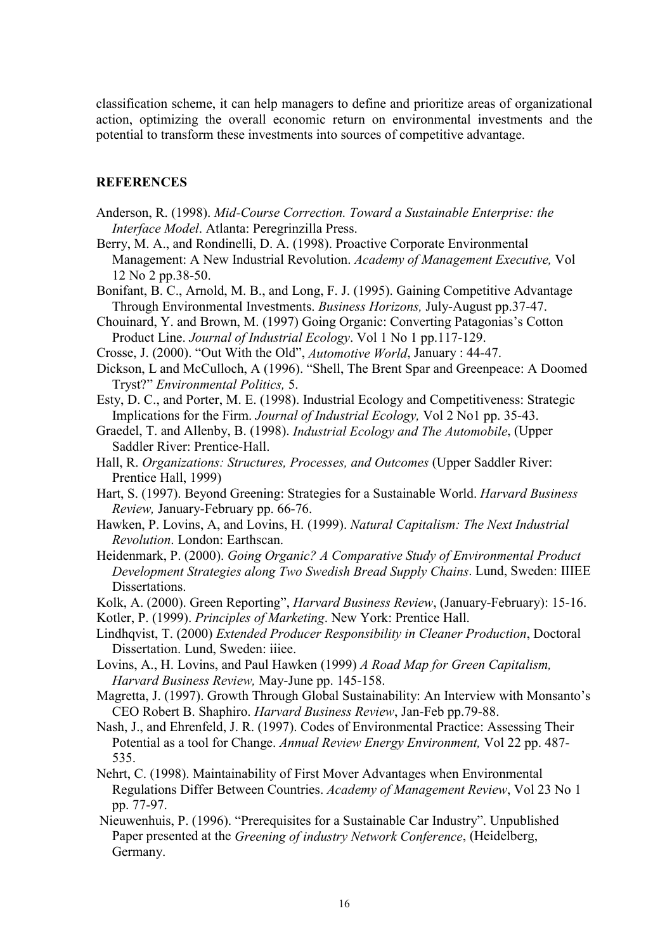classification scheme, it can help managers to define and prioritize areas of organizational action, optimizing the overall economic return on environmental investments and the potential to transform these investments into sources of competitive advantage.

## **REFERENCES**

- Anderson, R. (1998). Mid-Course Correction. Toward a Sustainable Enterprise: the Interface Model. Atlanta: Peregrinzilla Press.
- Berry, M. A., and Rondinelli, D. A. (1998). Proactive Corporate Environmental Management: A New Industrial Revolution. Academy of Management Executive, Vol 12 No 2 pp.38-50.
- Bonifant, B. C., Arnold, M. B., and Long, F. J. (1995). Gaining Competitive Advantage Through Environmental Investments. Business Horizons, July-August pp.37-47.
- Chouinard, Y. and Brown, M. (1997) Going Organic: Converting Patagonias's Cotton Product Line. Journal of Industrial Ecology. Vol 1 No 1 pp.117-129.
- Crosse, J. (2000). "Out With the Old", Automotive World, January: 44-47.
- Dickson, L and McCulloch, A (1996). "Shell, The Brent Spar and Greenpeace: A Doomed Tryst?" Environmental Politics, 5.
- Esty, D. C., and Porter, M. E. (1998). Industrial Ecology and Competitiveness: Strategic Implications for the Firm. Journal of Industrial Ecology, Vol 2 No1 pp. 35-43.
- Graedel, T. and Allenby, B. (1998). Industrial Ecology and The Automobile, (Upper Saddler River: Prentice-Hall.
- Hall, R. Organizations: Structures, Processes, and Outcomes (Upper Saddler River: Prentice Hall, 1999)
- Hart, S. (1997). Beyond Greening: Strategies for a Sustainable World. Harvard Business Review, January-February pp. 66-76.
- Hawken, P. Lovins, A, and Lovins, H. (1999). Natural Capitalism: The Next Industrial Revolution. London: Earthscan.
- Heidenmark, P. (2000). Going Organic? A Comparative Study of Environmental Product Development Strategies along Two Swedish Bread Supply Chains. Lund, Sweden: IIIEE Dissertations.
- Kolk, A. (2000). Green Reporting", Harvard Business Review, (January-February): 15-16.
- Kotler, P. (1999). Principles of Marketing. New York: Prentice Hall.
- Lindhqvist, T. (2000) Extended Producer Responsibility in Cleaner Production, Doctoral Dissertation, Lund, Sweden; iiiee.
- Lovins, A., H. Lovins, and Paul Hawken (1999) A Road Map for Green Capitalism. Harvard Business Review, May-June pp. 145-158.
- Magretta, J. (1997). Growth Through Global Sustainability: An Interview with Monsanto's CEO Robert B. Shaphiro. Harvard Business Review, Jan-Feb pp.79-88.
- Nash, J., and Ehrenfeld, J. R. (1997). Codes of Environmental Practice: Assessing Their Potential as a tool for Change. Annual Review Energy Environment, Vol 22 pp. 487-535.
- Nehrt, C. (1998). Maintainability of First Mover Advantages when Environmental Regulations Differ Between Countries. Academy of Management Review, Vol 23 No 1 pp. 77-97.
- Nieuwenhuis, P. (1996). "Prerequisites for a Sustainable Car Industry". Unpublished Paper presented at the Greening of industry Network Conference, (Heidelberg, Germany.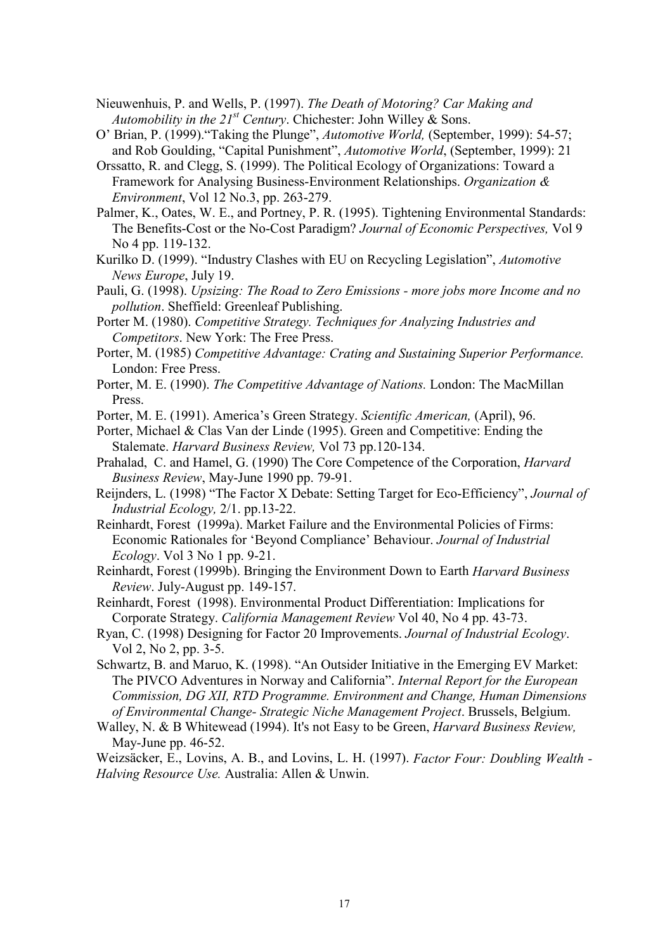- Nieuwenhuis, P. and Wells, P. (1997). The Death of Motoring? Car Making and Automobility in the  $21^{st}$  Century. Chichester: John Willey & Sons.
- O' Brian, P. (1999). "Taking the Plunge", *Automotive World*, (September, 1999): 54-57; and Rob Goulding, "Capital Punishment", Automotive World, (September, 1999): 21
- Orssatto, R. and Clegg, S. (1999). The Political Ecology of Organizations: Toward a Framework for Analysing Business-Environment Relationships. Organization & *Environment*, Vol 12 No.3, pp. 263-279.
- Palmer, K., Oates, W. E., and Portney, P. R. (1995). Tightening Environmental Standards: The Benefits-Cost or the No-Cost Paradigm? Journal of Economic Perspectives, Vol 9 No 4 pp. 119-132.
- Kurilko D. (1999). "Industry Clashes with EU on Recycling Legislation", Automotive News Europe, July 19.
- Pauli, G. (1998). Upsizing: The Road to Zero Emissions more jobs more Income and no *pollution*. Sheffield: Greenleaf Publishing.
- Porter M. (1980). Competitive Strategy. Techniques for Analyzing Industries and Competitors. New York: The Free Press.
- Porter, M. (1985) Competitive Advantage: Crating and Sustaining Superior Performance. London: Free Press.
- Porter, M. E. (1990). The Competitive Advantage of Nations. London: The MacMillan Press.
- Porter, M. E. (1991). America's Green Strategy. Scientific American, (April), 96.
- Porter, Michael & Clas Van der Linde (1995). Green and Competitive: Ending the Stalemate. Harvard Business Review, Vol 73 pp.120-134.
- Prahalad, C. and Hamel, G. (1990) The Core Competence of the Corporation, *Harvard* Business Review, May-June 1990 pp. 79-91.
- Reijnders, L. (1998) "The Factor X Debate: Setting Target for Eco-Efficiency", Journal of Industrial Ecology,  $2/1$ . pp. 13-22.
- Reinhardt, Forest (1999a). Market Failure and the Environmental Policies of Firms: Economic Rationales for 'Beyond Compliance' Behaviour. Journal of Industrial  $Ecology.$  Vol 3 No 1 pp. 9-21.
- Reinhardt, Forest (1999b). Bringing the Environment Down to Earth Harvard Business Review. July-August pp. 149-157.

Reinhardt, Forest (1998). Environmental Product Differentiation: Implications for Corporate Strategy. California Management Review Vol 40, No 4 pp. 43-73.

- Ryan, C. (1998) Designing for Factor 20 Improvements. Journal of Industrial Ecology. Vol 2, No 2, pp. 3-5.
- Schwartz, B. and Maruo, K. (1998). "An Outsider Initiative in the Emerging EV Market: The PIVCO Adventures in Norway and California". Internal Report for the European Commission, DG XII, RTD Programme. Environment and Change, Human Dimensions of Environmental Change- Strategic Niche Management Project. Brussels, Belgium.
- Walley, N. & B Whitewead (1994). It's not Easy to be Green, *Harvard Business Review*, May-June pp. 46-52.

Weizsäcker, E., Lovins, A. B., and Lovins, L. H. (1997). Factor Four: Doubling Wealth -Halving Resource Use. Australia: Allen & Unwin.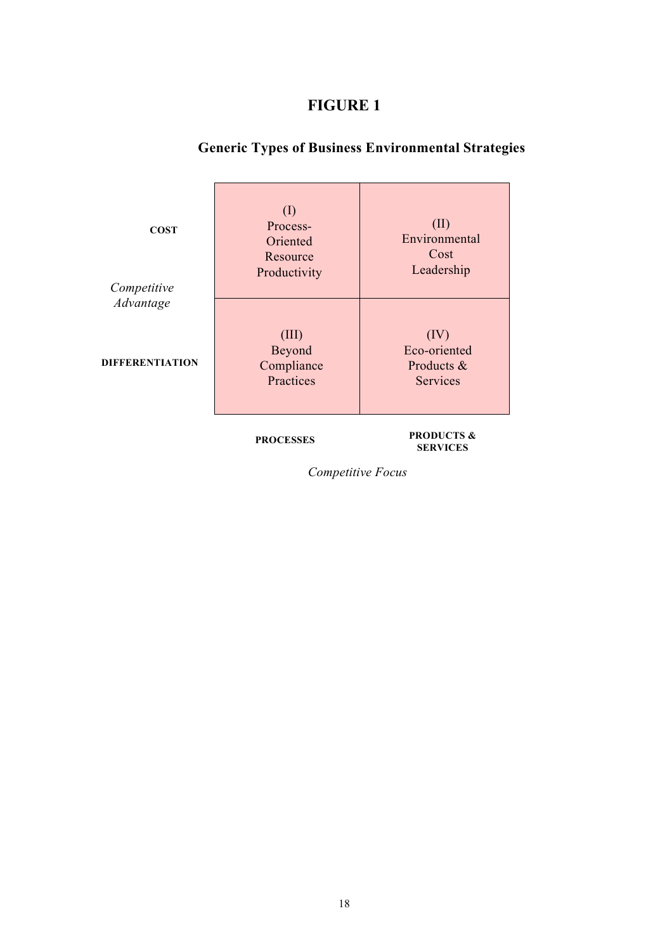# **FIGURE 1**

# **Generic Types of Business Environmental Strategies**

| <b>COST</b><br>Competitive | (I)<br>Process-<br>Oriented<br>Resource<br>Productivity | (II)<br>Environmental<br>Cost<br>Leadership    |
|----------------------------|---------------------------------------------------------|------------------------------------------------|
| Advantage                  |                                                         |                                                |
| <b>DIFFERENTIATION</b>     | (III)<br>Beyond<br>Compliance<br>Practices              | (IV)<br>Eco-oriented<br>Products &<br>Services |

**PROCESSES** 

#### **PRODUCTS & SERVICES**

Competitive Focus